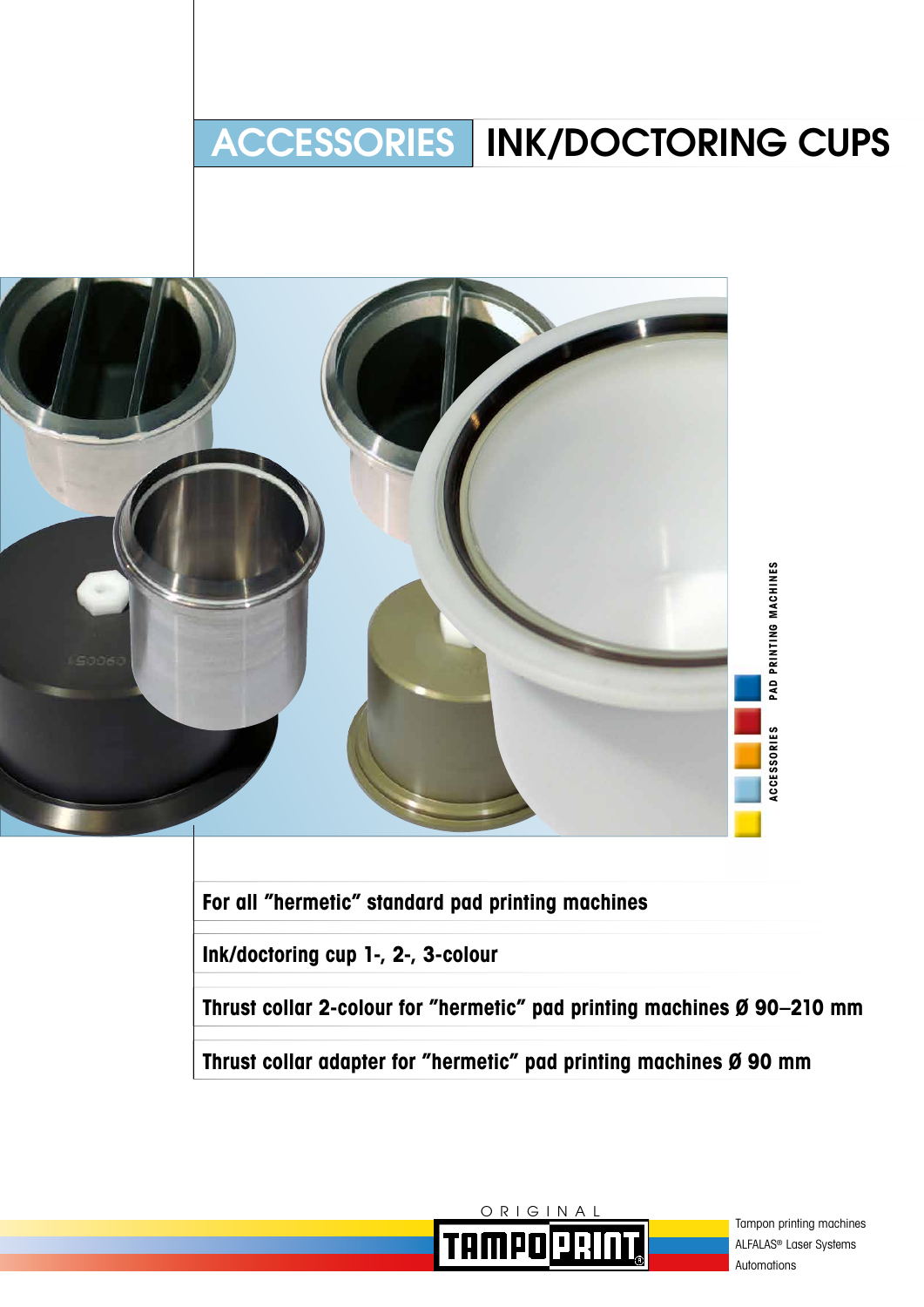# ACCESSORIES INK/DOCTORING CUPS



**For all "hermetic" standard pad printing machines**

**Ink/doctoring cup 1-, 2-, 3-colour**

**Thrust collar 2-colour for "hermetic" pad printing machines Ø 90–210 mm**

**Thrust collar adapter for "hermetic" pad printing machines Ø 90 mm**



Tampon printing machines ALFALAS® Laser Systems Automations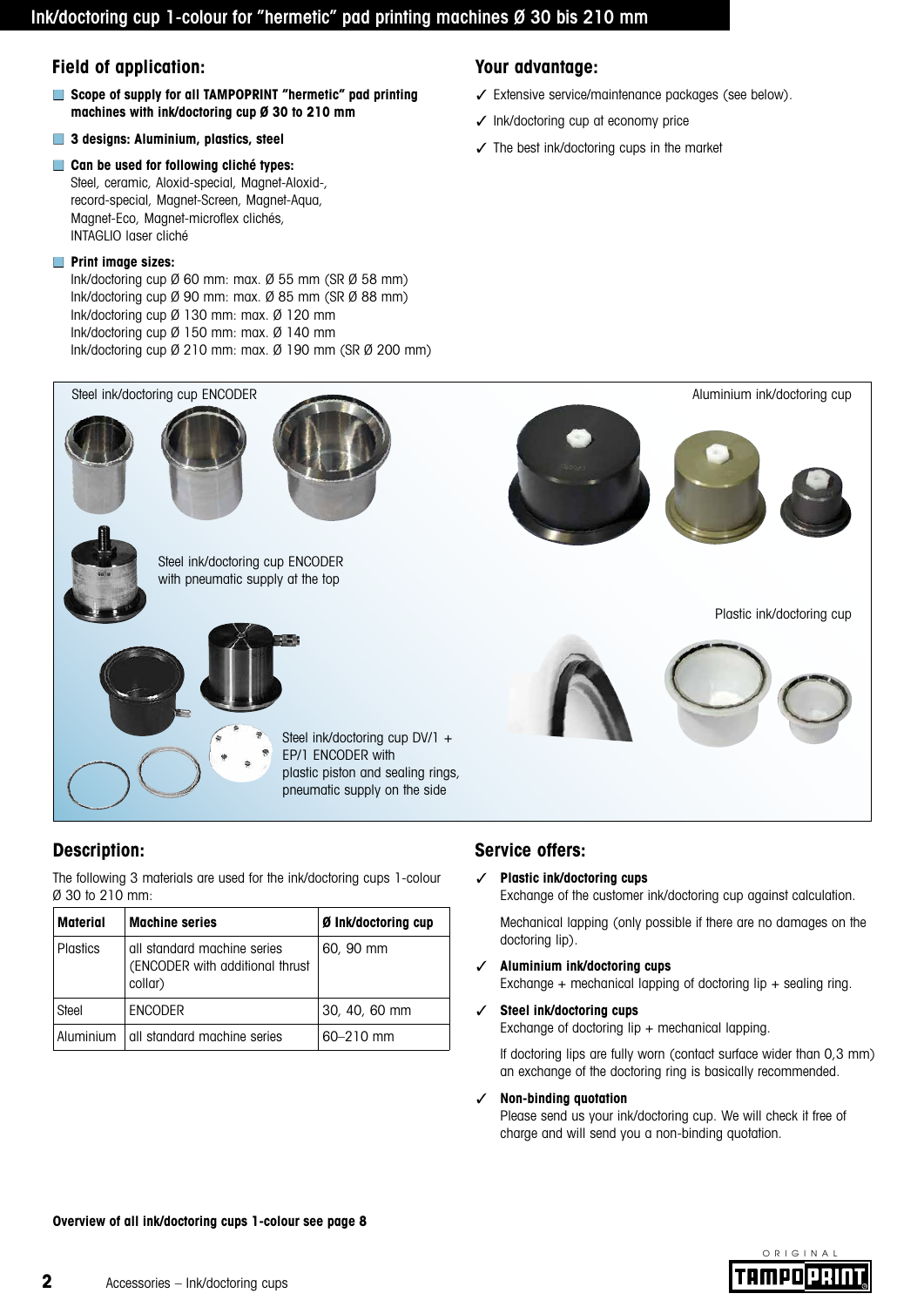# Ink/doctoring cup 1-colour for "hermetic" pad printing machines Ø 30 bis 210 mm

## **Field of application:**

- **Scope of supply for all TAMPOPRINT** "hermetic" pad printing **machines with ink/doctoring cup Ø 30 to 210 mm**
- **3 designs: Aluminium, plastics, steel**
- **Can be used for following cliché types:** Steel, ceramic, Aloxid-special, Magnet-Aloxid-, record-special, Magnet-Screen, Magnet-Aqua, Magnet-Eco, Magnet-microflex clichés, INTAGLIO laser cliché

### ■ **Print image sizes:**

Ink/doctoring cup Ø 60 mm: max. Ø 55 mm (SR Ø 58 mm) Ink/doctoring cup Ø 90 mm: max. Ø 85 mm (SR Ø 88 mm) Ink/doctoring cup Ø 130 mm: max. Ø 120 mm Ink/doctoring cup Ø 150 mm: max. Ø 140 mm Ink/doctoring cup Ø 210 mm: max. Ø 190 mm (SR Ø 200 mm)

# **Your advantage:**

- ✓ Extensive service/maintenance packages (see below).
- ✓ Ink/doctoring cup at economy price
- ✓ The best ink/doctoring cups in the market



# **Description:**

The following 3 materials are used for the ink/doctoring cups 1-colour Ø 30 to 210 mm:

| <b>Material</b> | <b>Machine series</b>                                                     | Ø Ink/doctoring cup |  |  |  |  |
|-----------------|---------------------------------------------------------------------------|---------------------|--|--|--|--|
| <b>Plastics</b> | all standard machine series<br>(ENCODER with additional thrust<br>collar) | 60, 90 mm           |  |  |  |  |
| Steel           | <b>ENCODER</b>                                                            | 30, 40, 60 mm       |  |  |  |  |
| Aluminium       | all standard machine series                                               | $60 - 210$ mm       |  |  |  |  |

# **Service offers:**

### ✓ **Plastic ink/doctoring cups**

Exchange of the customer ink/doctoring cup against calculation.

Mechanical lapping (only possible if there are no damages on the doctoring lip).

- ✓ **Aluminium ink/doctoring cups** Exchange + mechanical lapping of doctoring lip + sealing ring.
- ✓ **Steel ink/doctoring cups** Exchange of doctoring lip  $+$  mechanical lapping.

If doctoring lips are fully worn (contact surface wider than 0,3 mm) an exchange of the doctoring ring is basically recommended.

✓ **Non-binding quotation**

Please send us your ink/doctoring cup. We will check it free of charge and will send you a non-binding quotation.

**Overview of all ink/doctoring cups 1-colour see page 8**

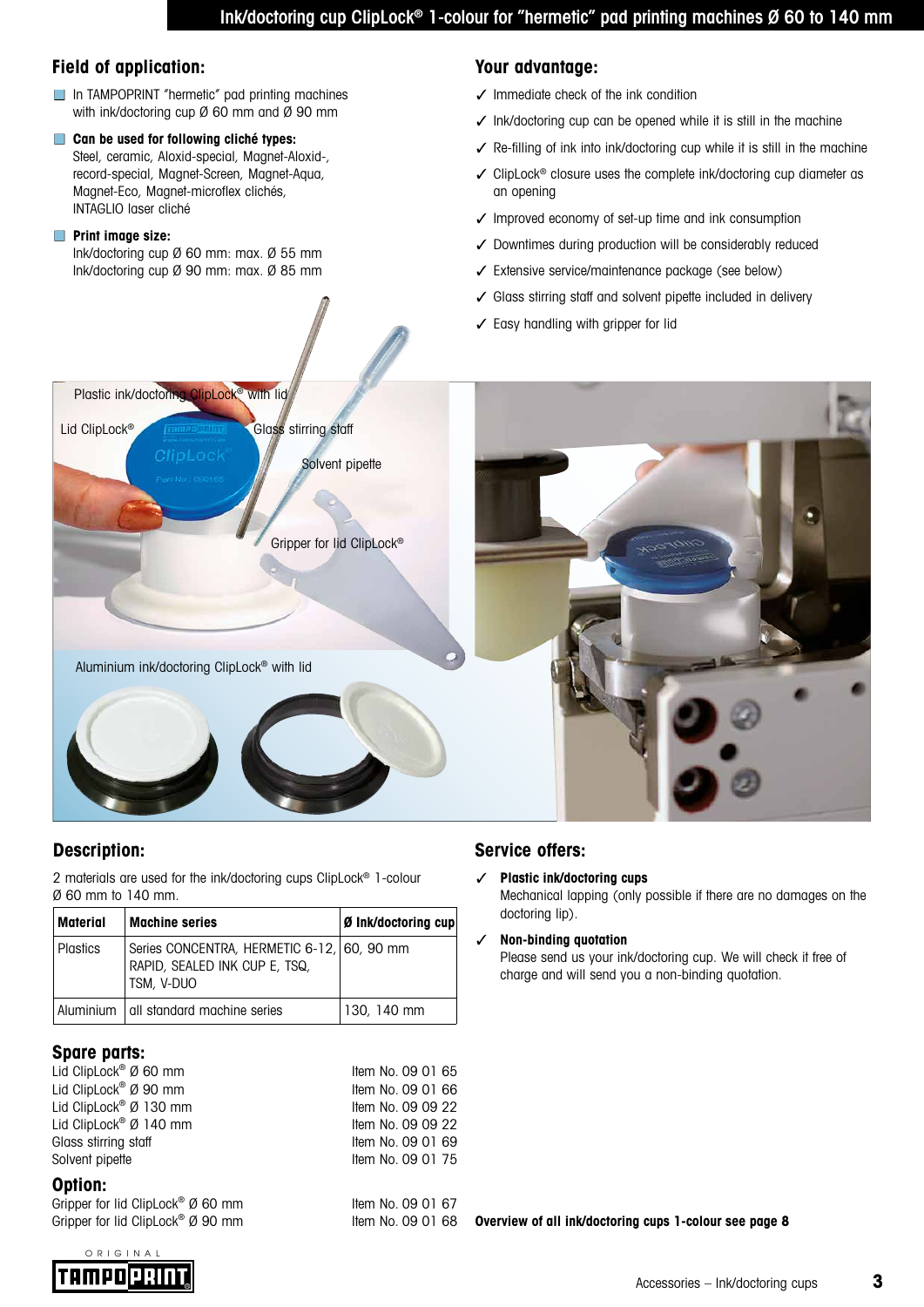# **Field of application:**

- In TAMPOPRINT "hermetic" pad printing machines with ink/doctoring cup Ø 60 mm and Ø 90 mm
- **Can be used for following cliché types:** Steel, ceramic, Aloxid-special, Magnet-Aloxid-, record-special, Magnet-Screen, Magnet-Aqua, Magnet-Eco, Magnet-microflex clichés, INTAGLIO laser cliché

### ■ **Print image size:**

Ink/doctoring cup Ø 60 mm: max. Ø 55 mm Ink/doctoring cup Ø 90 mm: max. Ø 85 mm

# **Your advantage:**

- ✓ Immediate check of the ink condition
- ✓ Ink/doctoring cup can be opened while it is still in the machine
- ✓ Re-filling of ink into ink/doctoring cup while it is still in the machine
- ✓ ClipLock® closure uses the complete ink/doctoring cup diameter as an opening
- ✓ Improved economy of set-up time and ink consumption
- ✓ Downtimes during production will be considerably reduced
- ✓ Extensive service/maintenance package (see below)
- ✓ Glass stirring staff and solvent pipette included in delivery
- ✓ Easy handling with gripper for lid



# **Description:**

2 materials are used for the ink/doctoring cups ClipLock® 1-colour Ø 60 mm to 140 mm.

| Material        | <b>Machine series</b>                                                                     | Ø Ink/doctoring cup |  |  |  |
|-----------------|-------------------------------------------------------------------------------------------|---------------------|--|--|--|
| <b>Plastics</b> | Series CONCENTRA, HERMETIC 6-12, 60, 90 mm<br>RAPID, SEALED INK CUP E, TSQ,<br>TSM, V-DUO |                     |  |  |  |
|                 | Aluminium   all standard machine series                                                   | 130, 140 mm         |  |  |  |

# **Spare parts:**

| Lid ClipLock <sup>®</sup> Ø 60 mm  | Item No. 09 01 65 |
|------------------------------------|-------------------|
| Lid ClipLock® Ø 90 mm              | Item No. 09 01 66 |
| Lid ClipLock <sup>®</sup> Ø 130 mm | Item No. 09 09 22 |
| Lid ClipLock <sup>®</sup> Ø 140 mm | Item No. 09 09 22 |
| Glass stirring staff               | Item No. 09 01 69 |
| Solvent pipette                    | Item No. 09 01 75 |
| Option:                            |                   |
| Gripper for lid ClipLock® Ø 60 mm  | Item No. 09 01 67 |

Gripper for lid ClipLock<sup>®</sup> Ø 90 mm

# **Service offers:**

### ✓ **Plastic ink/doctoring cups**

Mechanical lapping (only possible if there are no damages on the doctoring lip).

### ✓ **Non-binding quotation**

Please send us your ink/doctoring cup. We will check it free of charge and will send you a non-binding quotation.

**Overview of all ink/doctoring cups 1-colour see page 8**

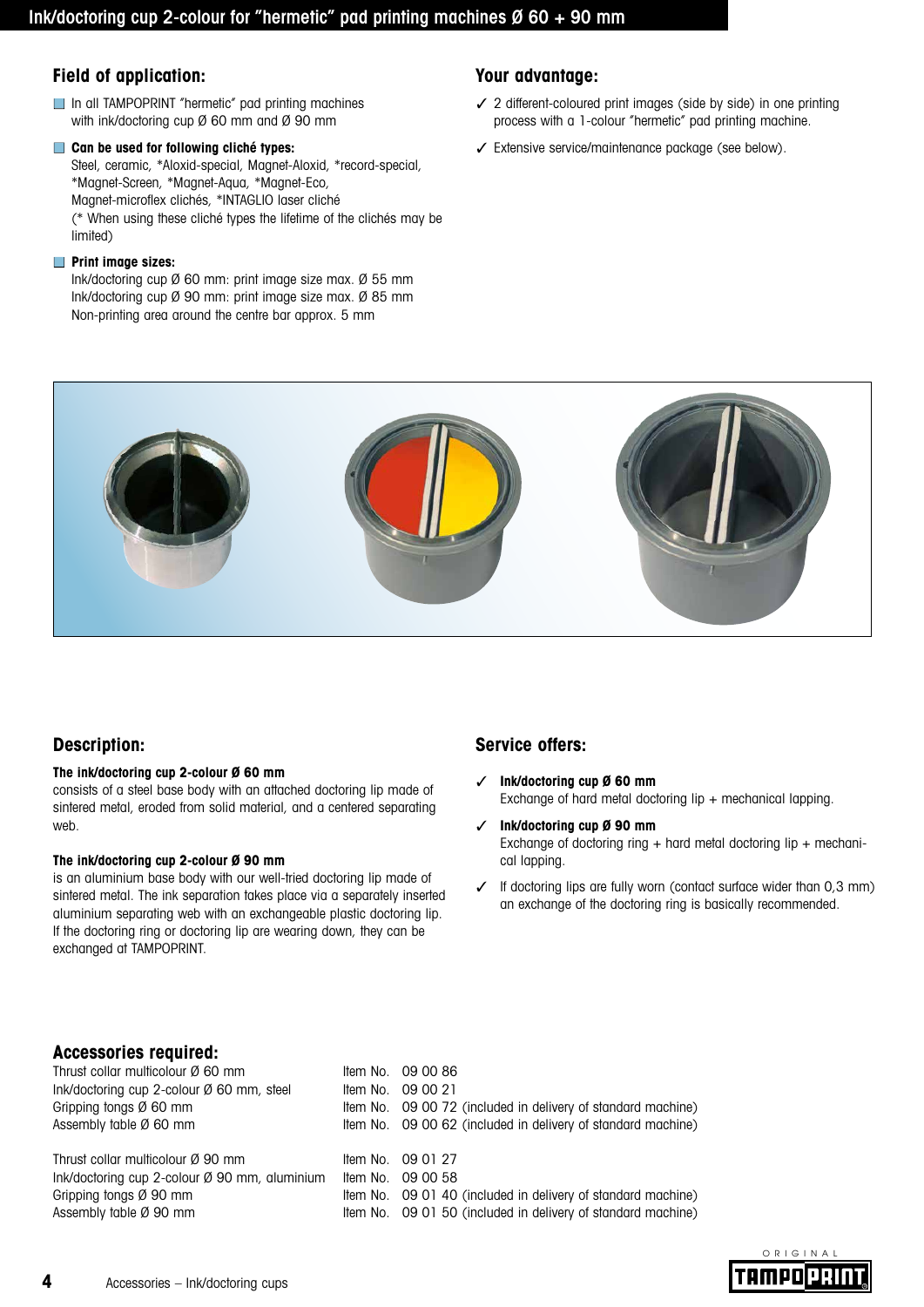# **Field of application:**

- In all TAMPOPRINT "hermetic" pad printing machines with ink/doctoring cup Ø 60 mm and Ø 90 mm
- **Can be used for following cliché types:**

Steel, ceramic, \*Aloxid-special, Magnet-Aloxid, \*record-special, \*Magnet-Screen, \*Magnet-Aqua, \*Magnet-Eco, Magnet-microflex clichés, \*INTAGLIO laser cliché (\* When using these cliché types the lifetime of the clichés may be limited)

### ■ **Print image sizes:**

Ink/doctoring cup Ø 60 mm: print image size max. Ø 55 mm Ink/doctoring cup Ø 90 mm: print image size max. Ø 85 mm Non-printing area around the centre bar approx. 5 mm

# **Your advantage:**

- ✓ 2 different-coloured print images (side by side) in one printing process with a 1-colour "hermetic" pad printing machine.
- ✓ Extensive service/maintenance package (see below).



# **Description:**

### **The ink/doctoring cup 2-colour Ø 60 mm**

consists of a steel base body with an attached doctoring lip made of sintered metal, eroded from solid material, and a centered separating web.

#### **The ink/doctoring cup 2-colour Ø 90 mm**

is an aluminium base body with our well-tried doctoring lip made of sintered metal. The ink separation takes place via a separately inserted aluminium separating web with an exchangeable plastic doctoring lip. If the doctoring ring or doctoring lip are wearing down, they can be exchanged at TAMPOPRINT.

# **Service offers:**

- ✓ **Ink/doctoring cup Ø 60 mm**  Exchange of hard metal doctoring lip + mechanical lapping.
- ✓ **Ink/doctoring cup Ø 90 mm**  Exchange of doctoring ring + hard metal doctoring lip + mechanical lapping.
- $\checkmark$  If doctoring lips are fully worn (contact surface wider than 0,3 mm) an exchange of the doctoring ring is basically recommended.

# **Accessories required:**

| Thrust collar multicolour Ø 60 mm                       | Item No. 09 00 86                                            |
|---------------------------------------------------------|--------------------------------------------------------------|
| Ink/doctoring cup 2-colour $\emptyset$ 60 mm, steel     | Item No. 09 00 21                                            |
| Gripping tongs $\varnothing$ 60 mm                      | Item No. 09 00 72 (included in delivery of standard machine) |
| Assembly table $\emptyset$ 60 mm                        | Item No. 09 00 62 (included in delivery of standard machine) |
| Thrust collar multicolour Ø 90 mm                       | Item No. 09 01 27                                            |
| Ink/doctoring cup 2-colour $\emptyset$ 90 mm, aluminium | Item No. 09 00 58                                            |
| Gripping tongs $\varnothing$ 90 mm                      | Item No. 09 01 40 (included in delivery of standard machine) |
| Assembly table Ø 90 mm                                  | Item No. 09 01 50 (included in delivery of standard machine) |

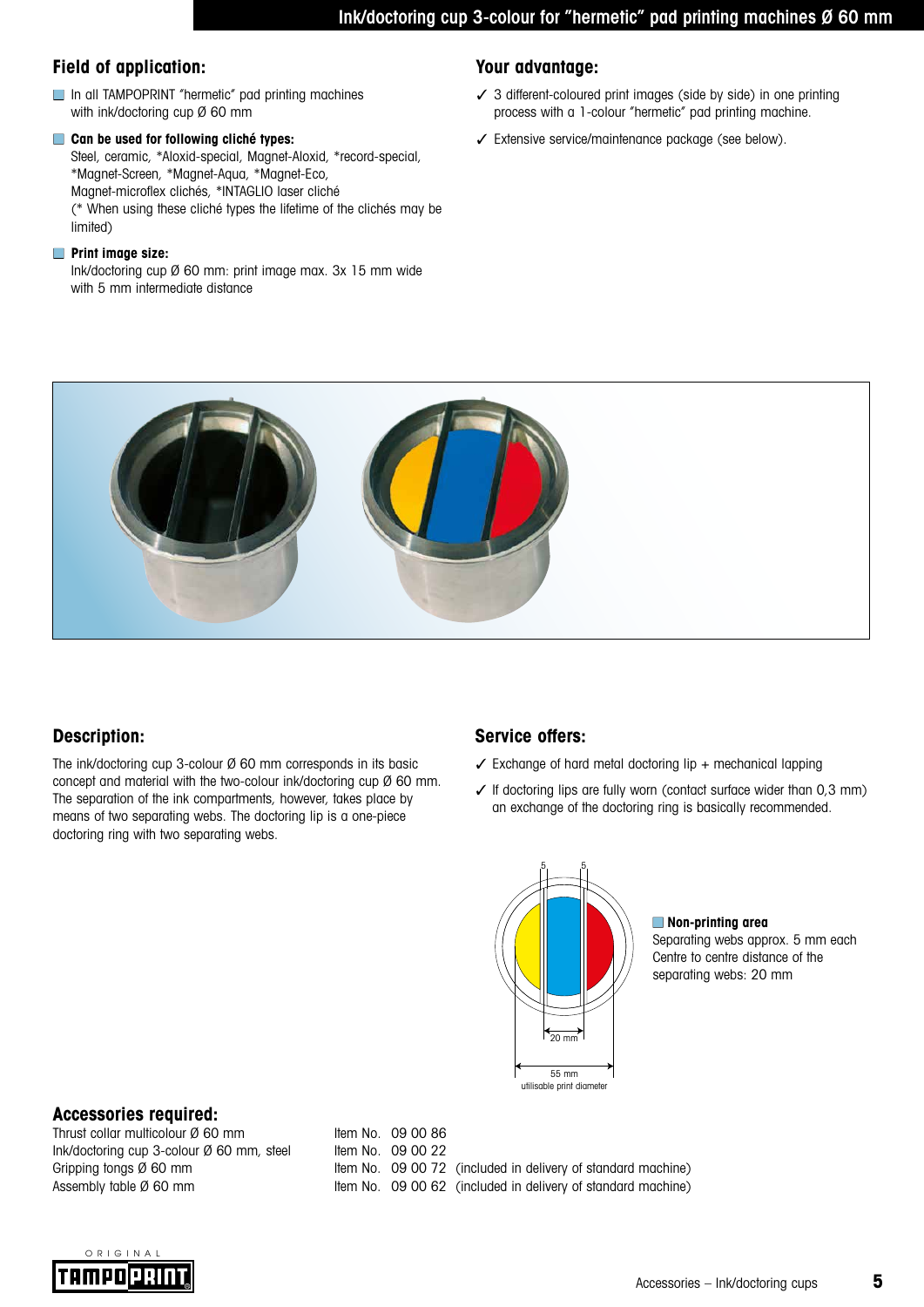# **Field of application: Your advantage:**

- In all TAMPOPRINT "hermetic" pad printing machines with ink/doctoring cup Ø 60 mm
- **Can be used for following cliché types:** Steel, ceramic, \*Aloxid-special, Magnet-Aloxid, \*record-special, \*Magnet-Screen, \*Magnet-Aqua, \*Magnet-Eco, Magnet-microflex clichés, \*INTAGLIO laser cliché (\* When using these cliché types the lifetime of the clichés may be limited)

### ■ **Print image size:**

Ink/doctoring cup Ø 60 mm: print image max. 3x 15 mm wide with 5 mm intermediate distance

- ✓ 3 different-coloured print images (side by side) in one printing process with a 1-colour "hermetic" pad printing machine.
- ✓ Extensive service/maintenance package (see below).



# **Description:**

The ink/doctoring cup 3-colour Ø 60 mm corresponds in its basic concept and material with the two-colour ink/doctoring cup Ø 60 mm. The separation of the ink compartments, however, takes place by means of two separating webs. The doctoring lip is a one-piece doctoring ring with two separating webs.

# **Service offers:**

- $\checkmark$  Exchange of hard metal doctoring lip + mechanical lapping
- $\checkmark$  If doctoring lips are fully worn (contact surface wider than 0,3 mm) an exchange of the doctoring ring is basically recommended.



### ■ **Non-printing area**

Separating webs approx. 5 mm each Centre to centre distance of the separating webs: 20 mm

# **Accessories required:**

Thrust collar multicolour Ø 60 mm Ink/doctoring cup 3-colour  $\emptyset$  60 mm, steel Item No. 09 00 22

Gripping tongs Ø 60 mm Item No. 09 00 72 (included in delivery of standard machine) Assembly table Ø 60 mm Item No. 09 00 62 (included in delivery of standard machine)

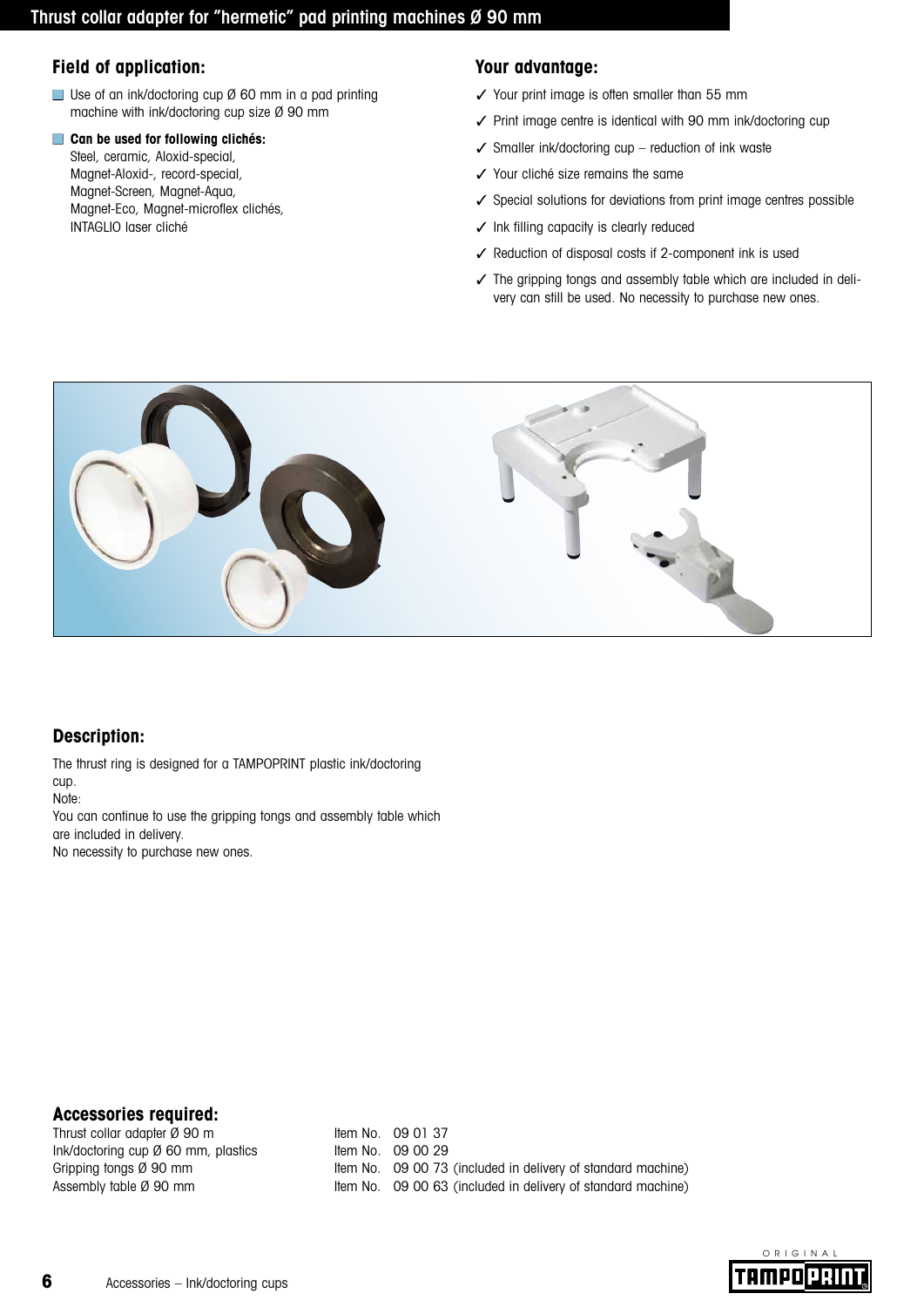# **Field of application: Your advantage:**

■ Use of an ink/doctoring cup Ø 60 mm in a pad printing machine with ink/doctoring cup size Ø 90 mm

#### ■ **Can be used for following clichés:**

Steel, ceramic, Aloxid-special, Magnet-Aloxid-, record-special, Magnet-Screen, Magnet-Aqua, Magnet-Eco, Magnet-microflex clichés, INTAGLIO laser cliché

- ✓ Your print image is often smaller than 55 mm
- ✓ Print image centre is identical with 90 mm ink/doctoring cup
- $\checkmark$  Smaller ink/doctoring cup reduction of ink waste
- ✓ Your cliché size remains the same
- ✓ Special solutions for deviations from print image centres possible
- ✓ Ink filling capacity is clearly reduced
- ✓ Reduction of disposal costs if 2-component ink is used
- ✓ The gripping tongs and assembly table which are included in delivery can still be used. No necessity to purchase new ones.



# **Description:**

The thrust ring is designed for a TAMPOPRINT plastic ink/doctoring cup.

Note:

You can continue to use the gripping tongs and assembly table which are included in delivery.

No necessity to purchase new ones.

# **Accessories required:**

Thrust collar adapter Ø 90 m  $Ink/doctorina cup  $\emptyset$  60 mm, plastics$  Item No. 09 00 29

Gripping tongs Ø 90 mm Item No. 09 00 73 (included in delivery of standard machine) Assembly table Ø 90 mm Item No. 09 00 63 (included in delivery of standard machine)

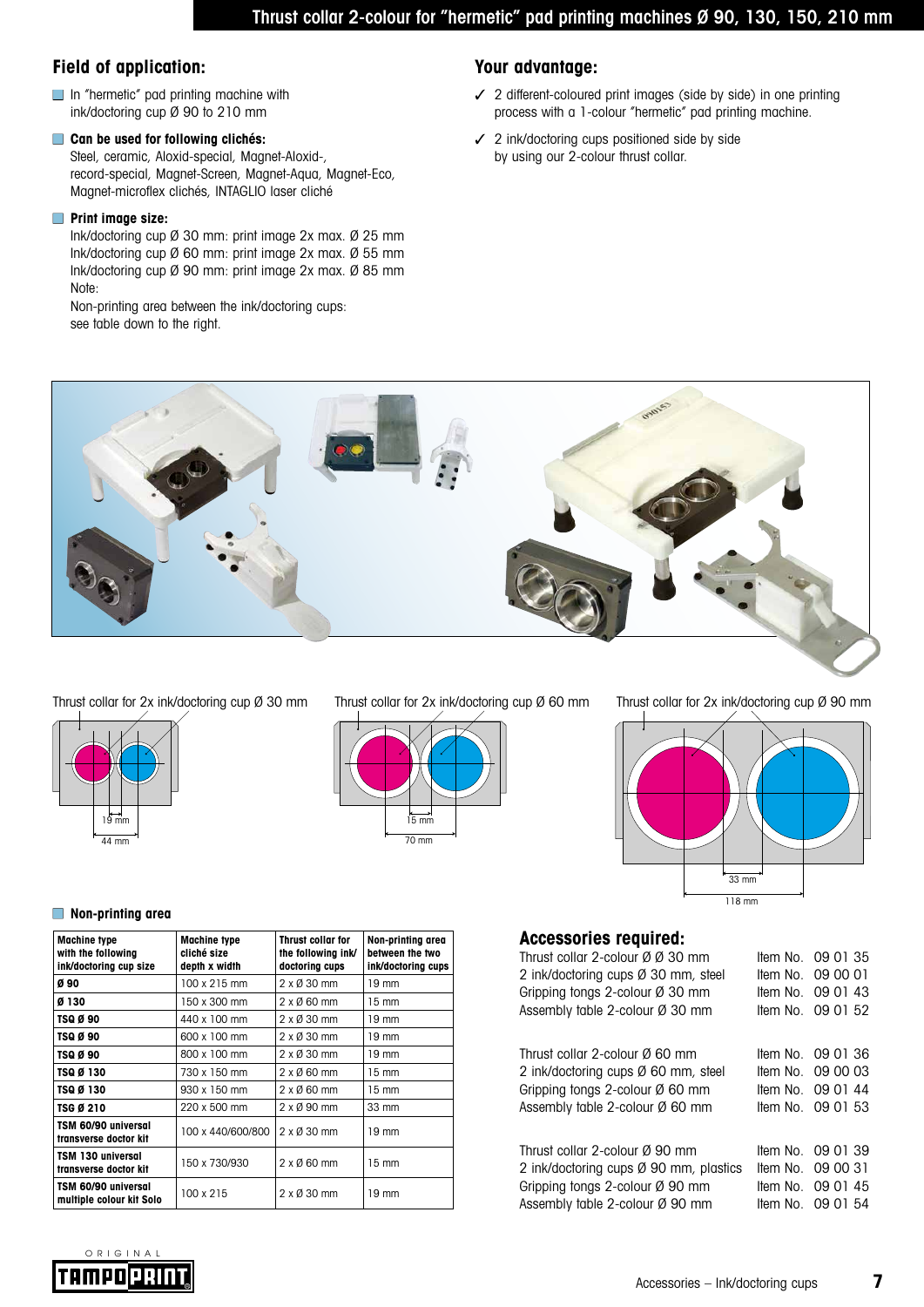# **Field of application: Your advantage:**

- In "hermetic" pad printing machine with ink/doctoring cup Ø 90 to 210 mm
- **Can be used for following clichés:** Steel, ceramic, Aloxid-special, Magnet-Aloxid-, record-special, Magnet-Screen, Magnet-Aqua, Magnet-Eco, Magnet-microflex clichés, INTAGLIO laser cliché

#### ■ **Print image size:**

Ink/doctoring cup Ø 30 mm: print image 2x max. Ø 25 mm Ink/doctoring cup Ø 60 mm: print image 2x max. Ø 55 mm Ink/doctoring cup Ø 90 mm: print image 2x max. Ø 85 mm Note:

Non-printing area between the ink/doctoring cups: see table down to the right.

- ✓ 2 different-coloured print images (side by side) in one printing process with a 1-colour "hermetic" pad printing machine.
- ✓ 2 ink/doctoring cups positioned side by side by using our 2-colour thrust collar.



Thrust collar for 2x ink/doctoring cup Ø 30 mm Thrust collar for 2x ink/doctoring cup Ø 60 mm Thrust collar for 2x ink/doctoring cup Ø 90 mm







#### ■ **Non-printing area**

| <b>Machine type</b><br>with the following<br>ink/doctoring cup size | <b>Machine type</b><br>cliché size<br>depth x width | Thrust collar for<br>the following ink/<br>doctoring cups | Non-printing area<br>between the two<br>ink/doctoring cups |  |
|---------------------------------------------------------------------|-----------------------------------------------------|-----------------------------------------------------------|------------------------------------------------------------|--|
| Ø 90                                                                | 100 x 215 mm                                        | 2 x Ø 30 mm                                               | 19 mm                                                      |  |
| Ø 130                                                               | 150 x 300 mm                                        | $2 \times 0.60$ mm                                        | $15 \text{ mm}$                                            |  |
| TSQ Ø 90                                                            | 440 x 100 mm                                        | 2 x Ø 30 mm                                               | $19 \text{ mm}$                                            |  |
| TSQ Ø 90                                                            | 600 x 100 mm                                        | 2 x Ø 30 mm                                               | $19 \text{ mm}$                                            |  |
| TSQ Ø 90                                                            | 800 x 100 mm                                        | 2 x Ø 30 mm                                               | $19 \text{ mm}$                                            |  |
| TSQ Ø 130                                                           | 730 x 150 mm                                        | $2 \times 0$ 60 mm                                        | $15 \text{ mm}$                                            |  |
| TSQ Ø 130                                                           | 930 x 150 mm                                        | $2 \times 0$ 60 mm                                        | $15 \text{ mm}$                                            |  |
| TSG Ø 210                                                           | 220 x 500 mm                                        | 2 x Ø 90 mm                                               | 33 mm                                                      |  |
| TSM 60/90 universal<br>transverse doctor kit                        | 100 x 440/600/800                                   | $2 \times 030$ mm                                         | 19 mm                                                      |  |
| TSM 130 universal<br>transverse doctor kit                          | 150 x 730/930                                       | $2 \times 0.60$ mm                                        | 15 mm                                                      |  |
| TSM 60/90 universal<br>multiple colour kit Solo                     | 100 x 215                                           | $2 \times 0.30$ mm                                        | 19 mm                                                      |  |

# **Accessories required:**

| AVVVJJJI I VJ TUGHI UGI.                    |                   |
|---------------------------------------------|-------------------|
| Thrust collar 2-colour Ø Ø 30 mm            | Item No. 09 01 35 |
| 2 ink/doctoring cups Ø 30 mm, steel         | Item No. 09 00 01 |
| Gripping tongs 2-colour $\varnothing$ 30 mm | Item No. $090143$ |
| Assembly table 2-colour Ø 30 mm             | Item No. 09 01 52 |
|                                             |                   |
| Thrust collar 2-colour Ø 60 mm              | Item No. 09 01 36 |
| 2 ink/doctoring cups Ø 60 mm, steel         | Item No. 09 00 03 |
| Gripping tongs 2-colour $\emptyset$ 60 mm   | Item No. 09 01 44 |
| Assembly table 2-colour Ø 60 mm             | Item No. 09 01 53 |
|                                             |                   |
| Thrust collar 2-colour Ø 90 mm              | Item No. 09 01 39 |
| 2 ink/doctoring cups Ø 90 mm, plastics      | Item No. 09 00 31 |
| Gripping tongs 2-colour $\varnothing$ 90 mm | Item No. 09 01 45 |
| Assembly table 2-colour Ø 90 mm             | Item No. 09 01 54 |
|                                             |                   |